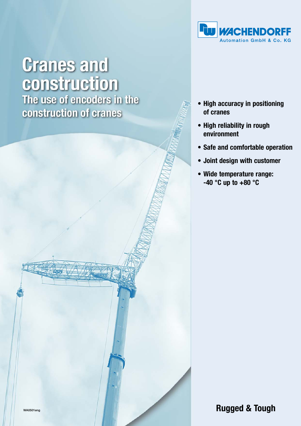

# **Cranes and** construction

The use of encoders in the construction of cranes



- **High reliability in rough environment**
- **Safe and comfortable operation**
- **Joint design with customer**
- **Wide temperature range: -40 °C up to +80 °C**

WA0501eng **Rugged & Tough**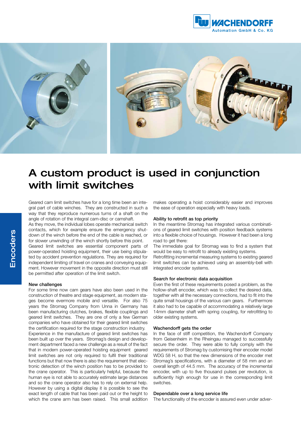



# A custom product is used in conjunction with limit switches

Geared cam limit switches have for a long time been an integral part of cable winches. They are constructed in such a way that they reproduce numerous turns of a shaft on the angle of rotation of the integral cam-disc or camshaft.

As they move, the individual lobes operate mechanical switch contacts, which for example ensure the emergency shutdown of the winch before the end of the cable is reached, or for slower unwinding of the winch shortly before this point.

Geared limit switches are essential component parts of power-operated hoisting equipment, their use being stipulated by accident prevention regulations. They are required for independent limiting of travel on cranes and conveying equipment. However movement in the opposite direction must still be permitted after operation of the limit switch.

#### New challenges

For some time now cam gears have also been used in the construction of theatre and stage equipment, as modern stages become evermore mobile and versatile. For also 75 years the Stromag Company from Unna in Germany has been manufacturing clutches, brakes, flexible couplings and geared limit switches. They are one of only a few German companies who have obtained for their geared limit switches the certification required for the stage construction industry.

Experience in the manufacture of geared limit switches has been built up over the years. Stromag's design and development department faced a new challenge as a result of the fact that in modern power-operated hoisting equipment geared limit switches are not only required to fulfil their traditional functions but that now there is also the requirement that electronic detection of the winch position has to be provided to the crane operator. This is particularly helpful, because the human eye is not able to accurately estimate large distances and so the crane operator also has to rely on external help. However by using a digital display it is possible to see the exact length of cable that has been paid out or the height to which the crane arm has been raised. This small addition makes operating a hoist considerably easier and improves the ease of operation especially with heavy loads.

#### Ability to retrofit as top priority

In the meantime Stromag has integrated various combinations of geared limit switches with position feedback systems into a flexible choice of housings. However it had been a long road to get there:

The immediate goal for Stromag was to find a system that would be easy to retrofit to already existing systems.

Retrofitting incremental measuring systems to existing geared limit switches can be achieved using an assembly-bell with integrated encoder systems.

#### Search for electronic data acquisition

Even the first of these requirements posed a problem, as the hollow-shaft encoder, which was to collect the desired data, together with all the necessary connections, had to fit into the quite small housings of the various cam gears. Furthermore it also had to be capable of accommodating a relatively large 14mm diameter shaft with spring coupling, for retrofitting to older existing systems.

#### Wachendorff gets the order

In the face of stiff competition, the Wachendorff Company from Geisenheim in the Rheingau managed to successfully secure the order. They were able to fully comply with the requirements of Stromag by customising their encoder model WDG 58 H, so that the new dimensions of the encoder met Stromag's specifications, with a diameter of 58 mm and an overall length of 44.5 mm. The accuracy of the incremental encoder, with up to five thousand pulses per revolution, is sufficiently high enough for use in the corresponding limit switches.

#### Dependable over a long service life

The functionality of the encoder is assured even under adver-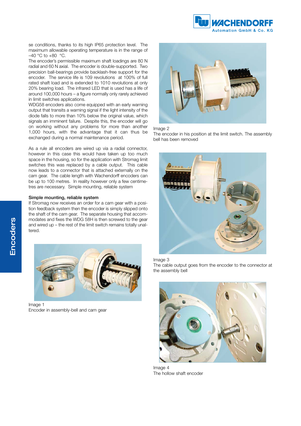

se conditions, thanks to its high IP65 protection level. The maximum allowable operating temperature is in the range of  $-40$  °C to  $+80$  °C.

The encoder's permissible maximum shaft loadings are 80 N radial and 60 N axial. The encoder is double-supported. Two precision ball-bearings provide backlash-free support for the encoder. The service life is 109 revolutions at 100% of full rated shaft load and is extended to 1010 revolutions at only 20% bearing load. The infrared LED that is used has a life of around 100,000 hours – a figure normally only rarely achieved in limit switches applications.

WDG58 encoders also come equipped with an early warning output that transits a warning signal if the light intensity of the diode falls to more than 10% below the original value, which signals an imminent failure. Despite this, the encoder will go on working without any problems for more than another 1,000 hours, with the advantage that it can thus be exchanged during a normal maintenance period.

As a rule all encoders are wired up via a radial connector, however in this case this would have taken up too much space in the housing, so for the application with Stromag limit switches this was replaced by a cable output. This cable now leads to a connector that is attached externally on the cam gear. The cable length with Wachendorff encoders can be up to 100 metres. In reality however only a few centimetres are necessary. Simple mounting, reliable system

## Simple mounting, reliable system

If Stromag now receives an order for a cam gear with a position feedback system then the encoder is simply slipped onto the shaft of the cam gear. The separate housing that accommodates and fixes the WDG 58H is then screwed to the gear and wired up – the rest of the limit switch remains totally unaltered.



Image 1 Encoder in assembly-bell and cam gear



#### Image 2

The encoder in his position at the limit switch. The assembly bell has been removed



### Image 3

The cable output goes from the encoder to the connector at the assembly bell



Image 4 The hollow shaft encoder